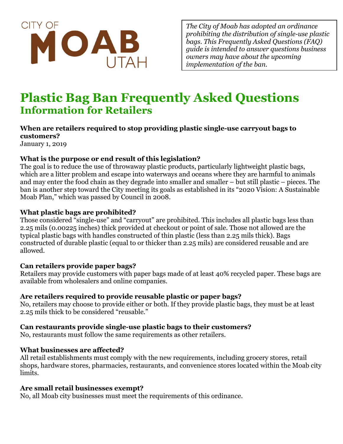

*The City of Moab has adopted an ordinance prohibiting the distribution of single-use plastic bags. This Frequently Asked Questions (FAQ) guide is intended to answer questions business owners may have about the upcoming implementation of the ban.*

# **Plastic Bag Ban Frequently Asked Questions Information for Retailers**

# **When are retailers required to stop providing plastic single-use carryout bags to customers?**

January 1, 2019

#### **What is the purpose or end result of this legislation?**

The goal is to reduce the use of throwaway plastic products, particularly lightweight plastic bags, which are a litter problem and escape into waterways and oceans where they are harmful to animals and may enter the food chain as they degrade into smaller and smaller – but still plastic – pieces. The ban is another step toward the City meeting its goals as established in its "2020 Vision: A Sustainable Moab Plan," which was passed by Council in 2008.

#### **What plastic bags are prohibited?**

Those considered "single-use" and "carryout" are prohibited. This includes all plastic bags less than 2.25 mils (0.00225 inches) thick provided at checkout or point of sale. Those not allowed are the typical plastic bags with handles constructed of thin plastic (less than 2.25 mils thick). Bags constructed of durable plastic (equal to or thicker than 2.25 mils) are considered reusable and are allowed.

#### **Can retailers provide paper bags?**

Retailers may provide customers with paper bags made of at least 40% recycled paper. These bags are available from wholesalers and online companies.

## **Are retailers required to provide reusable plastic or paper bags?**

No, retailers may choose to provide either or both. If they provide plastic bags, they must be at least 2.25 mils thick to be considered "reusable."

#### **Can restaurants provide single-use plastic bags to their customers?**

No, restaurants must follow the same requirements as other retailers.

#### **What businesses are affected?**

All retail establishments must comply with the new requirements, including grocery stores, retail shops, hardware stores, pharmacies, restaurants, and convenience stores located within the Moab city limits.

## **Are small retail businesses exempt?**

No, all Moab city businesses must meet the requirements of this ordinance.